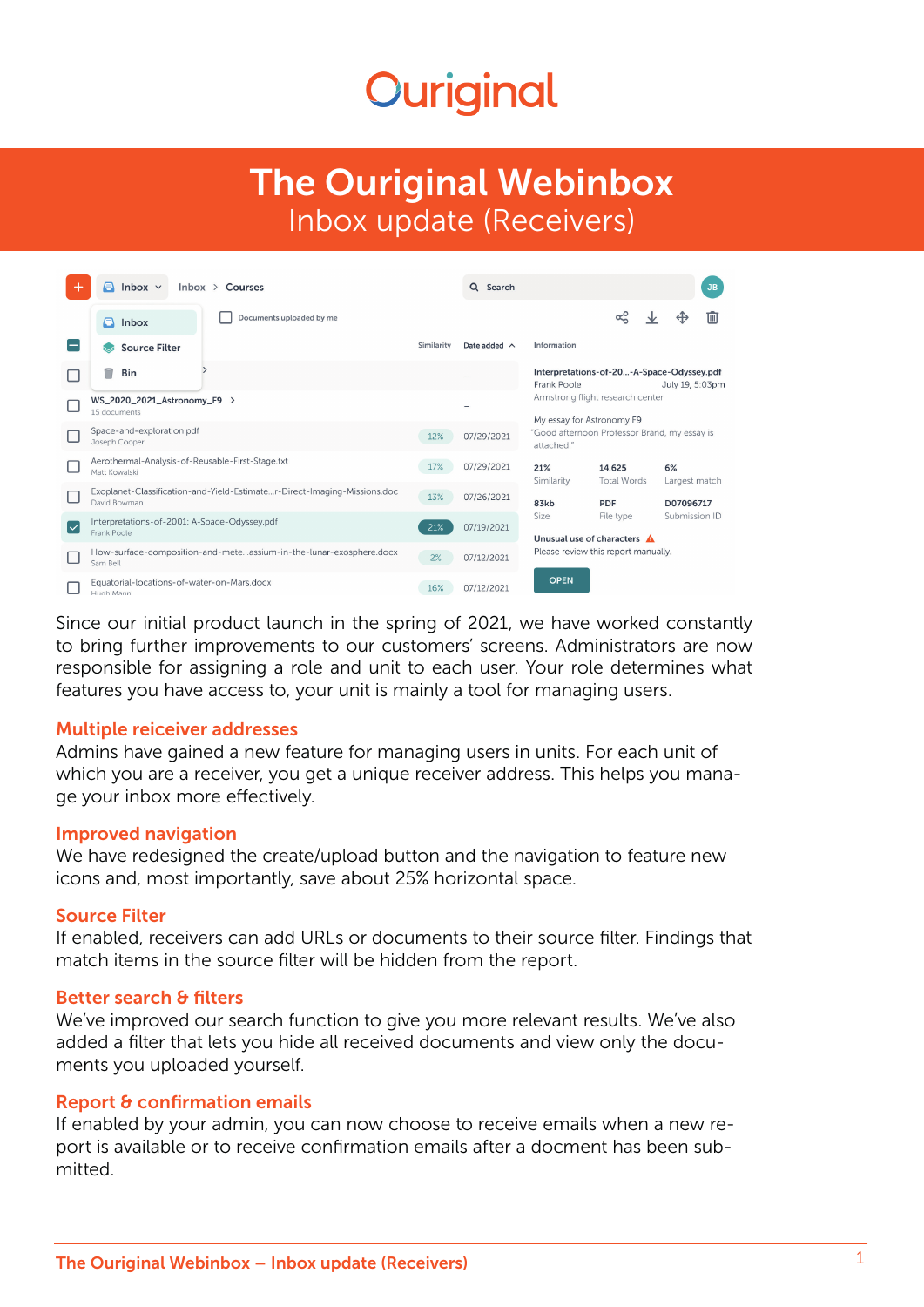# **Ouriginal**

# The Ouriginal Webinbox Inbox update (Receivers)

| ٠  | A<br>Inbox $\vee$<br>$lnbox \; >$ Courses                                                |            | Q Search<br>JB     |                                                                                                                                                                                                            |                              |                     |           |
|----|------------------------------------------------------------------------------------------|------------|--------------------|------------------------------------------------------------------------------------------------------------------------------------------------------------------------------------------------------------|------------------------------|---------------------|-----------|
|    | Documents uploaded by me<br>A<br>Inbox                                                   |            |                    |                                                                                                                                                                                                            | ≪                            |                     | IШ        |
|    | <b>Source Filter</b>                                                                     | Similarity | Date added $\land$ | Information                                                                                                                                                                                                |                              |                     |           |
|    | Bin                                                                                      |            |                    | Interpretations-of-20-A-Space-Odyssey.pdf<br>Frank Poole<br>July 19, 5:03pm<br>Armstrong flight research center<br>My essay for Astronomy F9<br>"Good afternoon Professor Brand, my essay is<br>attached." |                              |                     |           |
|    | WS_2020_2021_Astronomy_F9 ><br>15 documents                                              |            |                    |                                                                                                                                                                                                            |                              |                     |           |
|    | Space-and-exploration.pdf<br>Joseph Cooper                                               | 12%        | 07/29/2021         |                                                                                                                                                                                                            |                              |                     |           |
|    | Aerothermal-Analysis-of-Reusable-First-Stage.txt<br>Matt Kowalski                        | 17%        | 07/29/2021         | 21%<br>Similarity                                                                                                                                                                                          | 14.625<br><b>Total Words</b> | 6%<br>Largest match |           |
|    | Exoplanet-Classification-and-Yield-Estimater-Direct-Imaging-Missions.doc<br>David Bowman | 13%        | 07/26/2021         | 83kb<br><b>PDF</b>                                                                                                                                                                                         |                              |                     | D07096717 |
| ∣✓ | Interpretations-of-2001: A-Space-Odyssey.pdf<br>Frank Poole                              | 21%        | 07/19/2021         | Submission ID<br>Size<br>File type<br>Unusual use of characters A<br>Please review this report manually.                                                                                                   |                              |                     |           |
|    | How-surface-composition-and-meteassium-in-the-lunar-exosphere.docx<br>Sam Bell           | 2%         | 07/12/2021         |                                                                                                                                                                                                            |                              |                     |           |
|    | Equatorial-locations-of-water-on-Mars.docx<br>Hugh Mann                                  | 16%        | 07/12/2021         | <b>OPEN</b>                                                                                                                                                                                                |                              |                     |           |

Since our initial product launch in the spring of 2021, we have worked constantly to bring further improvements to our customers' screens. Administrators are now responsible for assigning a role and unit to each user. Your role determines what features you have access to, your unit is mainly a tool for managing users.

#### Multiple reiceiver addresses

Admins have gained a new feature for managing users in units. For each unit of which you are a receiver, you get a unique receiver address. This helps you manage your inbox more effectively.

#### Improved navigation

We have redesigned the create/upload button and the navigation to feature new icons and, most importantly, save about 25% horizontal space.

# Source Filter

If enabled, receivers can add URLs or documents to their source filter. Findings that match items in the source filter will be hidden from the report.

# Better search & filters

We've improved our search function to give you more relevant results. We've also added a filter that lets you hide all received documents and view only the documents you uploaded yourself.

# Report & confirmation emails

If enabled by your admin, you can now choose to receive emails when a new report is available or to receive confirmation emails after a docment has been submitted.